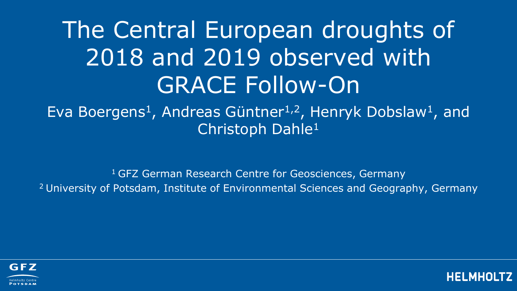## The Central European droughts of 2018 and 2019 observed with GRACE Follow-On

Eva Boergens<sup>1</sup>, Andreas Güntner1,2, Henryk Dobslaw<sup>1</sup>, and Christoph Dahle<sup>1</sup>

<sup>1</sup> GFZ German Research Centre for Geosciences, Germany 2 University of Potsdam, Institute of Environmental Sciences and Geography, Germany



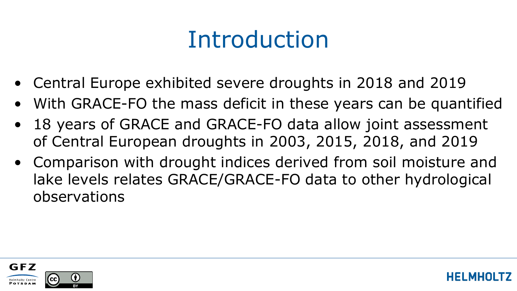### Introduction

- Central Europe exhibited severe droughts in 2018 and 2019
- With GRACE-FO the mass deficit in these years can be quantified
- 18 years of GRACE and GRACE-FO data allow joint assessment of Central European droughts in 2003, 2015, 2018, and 2019
- Comparison with drought indices derived from soil moisture and lake levels relates GRACE/GRACE-FO data to other hydrological observations

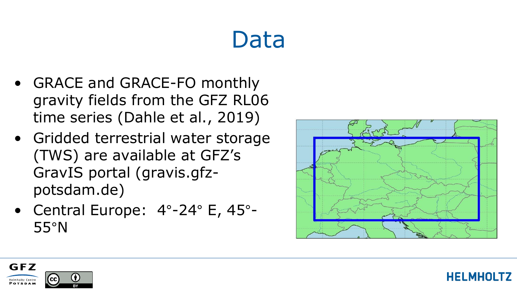### Data

- GRACE and GRACE-FO monthly gravity fields from the GFZ RL06 time series (Dahle et al., 2019)
- Gridded terrestrial water storage (TWS) are available at GFZ's GravIS portal (gravis.gfzpotsdam.de)
- Central Europe: 4°-24° E, 45°- 55°N



**HELMHOLTZ** 

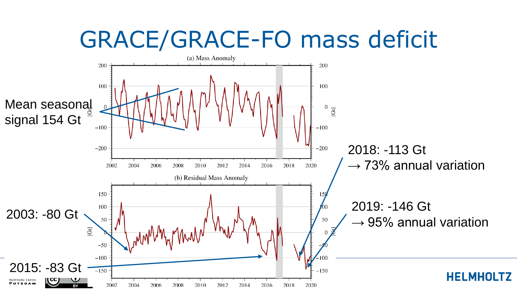#### GRACE/GRACE-FO mass deficit

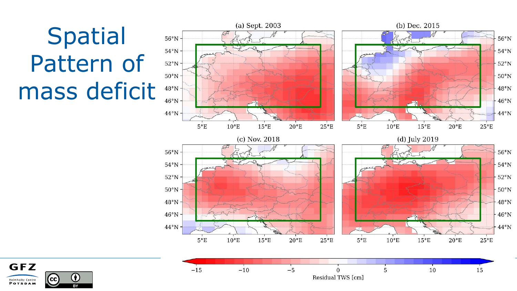# Spatial Pattern of mass deficit



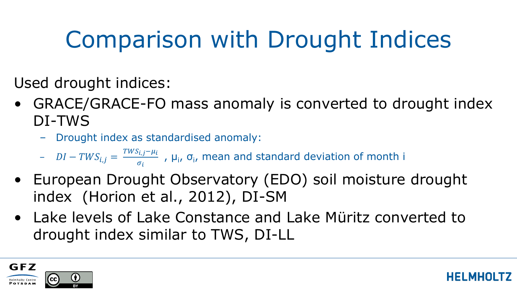## Comparison with Drought Indices

Used drought indices:

- GRACE/GRACE-FO mass anomaly is converted to drought index DI-TWS
	- Drought index as standardised anomaly:
	- $-I TWS_{i,j} = \frac{TWS_{i,j} \mu_i}{\sigma_i}$  $\frac{\partial \mathcal{L}_j - \mu_l}{\partial \sigma_i}$ ,  $\mu_i$ ,  $\sigma_i$ , mean and standard deviation of month i
- European Drought Observatory (EDO) soil moisture drought index (Horion et al., 2012), DI-SM
- Lake levels of Lake Constance and Lake Müritz converted to drought index similar to TWS, DI-LL

HEI MHO

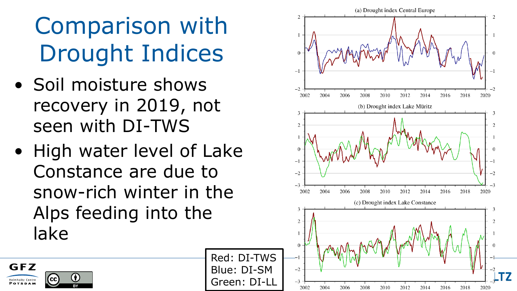# Comparison with Drought Indices

- Soil moisture shows recovery in 2019, not seen with DI-TWS
- High water level of Lake Constance are due to snow-rich winter in the Alps feeding into the lake

GFZ

Helmholtz Centre **POTSDAM** 

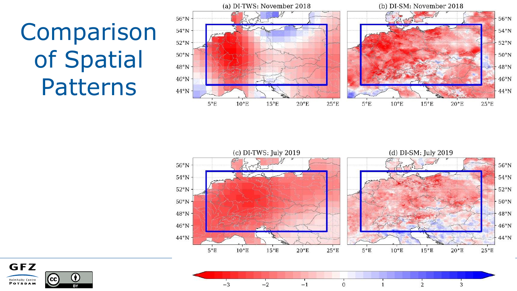Comparison of Spatial Patterns







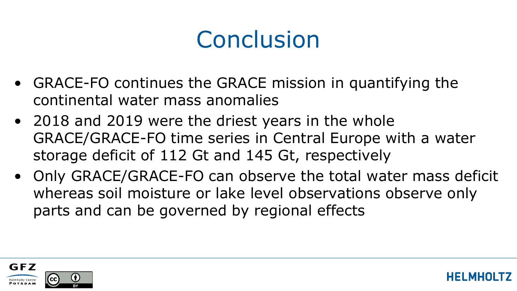### **Conclusion**

- GRACE-FO continues the GRACE mission in quantifying the continental water mass anomalies
- 2018 and 2019 were the driest years in the whole GRACE/GRACE-FO time series in Central Europe with a water storage deficit of 112 Gt and 145 Gt, respectively
- Only GRACE/GRACE-FO can observe the total water mass deficit whereas soil moisture or lake level observations observe only parts and can be governed by regional effects

HEI MHO